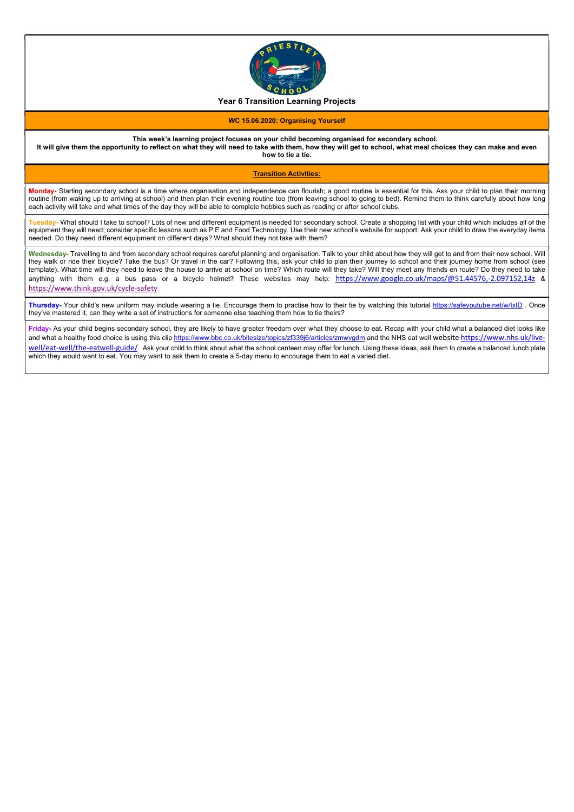

## Year 6 Transition Learning Projects

### WC 15.06.2020: Organising Yourself

### This week's learning project focuses on your child becoming organised for secondary school.

It will give them the opportunity to reflect on what they will need to take with them, how they will get to school, what meal choices they can make and even how to tie a tie.

### Transition Activities:

Monday- Starting secondary school is a time where organisation and independence can flourish; a good routine is essential for this. Ask your child to plan their morning routine (from waking up to arriving at school) and then plan their evening routine too (from leaving school to going to bed). Remind them to think carefully about how long each activity will take and what times of the day they will be able to complete hobbies such as reading or after school clubs.

Tuesday- What should I take to school? Lots of new and different equipment is needed for secondary school. Create a shopping list with your child which includes all of the equipment they will need; consider specific lessons such as P.E and Food Technology. Use their new school's website for support. Ask your child to draw the everyday items needed. Do they need different equipment on different days? What should they not take with them?

Wednesday- Travelling to and from secondary school requires careful planning and organisation. Talk to your child about how they will get to and from their new school. Will they walk or ride their bicycle? Take the bus? Or travel in the car? Following this, ask your child to plan their journey to school and their journey home from school (see template). What time will they need to leave the house to arrive at school on time? Which route will they take? Will they meet any friends en route? Do they need to take anything with them e.g. a bus pass or a bicycle helmet? These websites may help: https://www.google.co.uk/maps/@51.44576,-2.097152,14z & https://www.think.gov.uk/cycle-safety

Thursday- Your child's new uniform may include wearing a tie. Encourage them to practise how to their tie by watching this tutorial https://safeyoutube.net/w/IxID. Once they've mastered it, can they write a set of instructions for someone else teaching them how to tie theirs?

Friday- As your child begins secondary school, they are likely to have greater freedom over what they choose to eat. Recap with your child what a balanced diet looks like and what a healthy food choice is using this clip https://www.bbc.co.uk/bitesize/topics/zf339j6/articles/zmwygdm and the NHS eat well website https://www.nhs.uk/livewell/eat-well/the-eatwell-guide/ Ask your child to think about what the school canteen may offer for lunch. Using these ideas, ask them to create a balanced lunch plate which they would want to eat. You may want to ask them to create a 5-day menu to encourage them to eat a varied diet.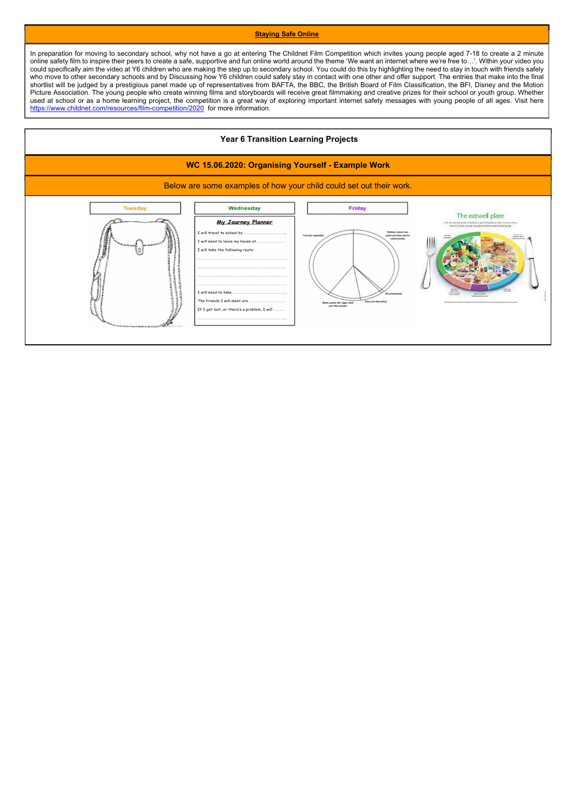#### **Staying Safe Online**

In preparation for moving to secondary school, why not have a go at entering The Childnet Film Competition which invites young people aged 7-18 to create a 2 minute online safety film to inspire their peers to create a safe, supportive and fun online world around the theme 'We want an internet where we're free to…'. Within your video you could specifically aim the video at Y6 children who are making the step up to secondary school. You could do this by highlighting the need to stay in touch with friends safely who move to other secondary schools and by Discussing how Y6 children could safely stay in contact with one other and offer support. The entries that make into the final shortlist will be judged by a prestigious panel made up of representatives from BAFTA, the BBC, the British Board of Film Classification, the BFI, Disney and the Motion Picture Association. The young people who create winning films and storyboards will receive great filmmaking and creative prizes for their school or youth group. Whether used at school or as a home learning project, the competition is a great way of exploring important internet safety messages with young people of all ages. Visit here https://www.childnet.com/resources/film-competition/2020 for more information.